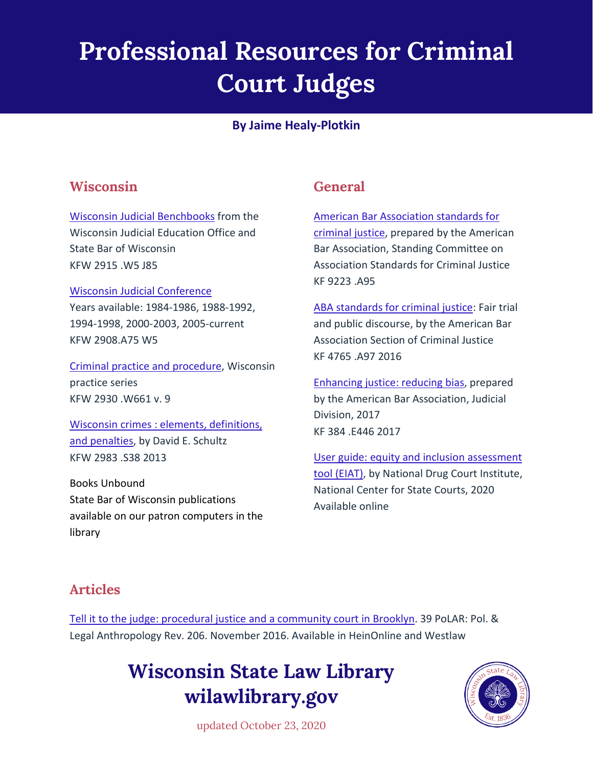## **Professional Resources for Criminal Court Judges**

#### **By Jaime Healy-Plotkin**

#### **Wisconsin**

[Wisconsin Judicial Benchbooks](http://wiscl.wsll.state.wi.us/record=b192659) from the Wisconsin Judicial Education Office and State Bar of Wisconsin KFW 2915 .W5 J85

#### [Wisconsin Judicial Conference](http://wiscl.wsll.state.wi.us/record=b102738)

Years available: 1984-1986, 1988-1992, 1994-1998, 2000-2003, 2005-current KFW 2908.A75 W5

[Criminal practice and procedure,](http://wiscl.wsll.state.wi.us/record=b162006) Wisconsin practice series KFW 2930 .W661 v. 9

[Wisconsin crimes : elements, definitions,](http://wiscl.wsll.state.wi.us/record=b196328)  [and penalties,](http://wiscl.wsll.state.wi.us/record=b196328) by David E. Schultz KFW 2983 .S38 2013

Books Unbound State Bar of Wisconsin publications available on our patron computers in the library

#### **General**

[American Bar Association standards for](http://wiscl.wsll.state.wi.us/record=b109755)  [criminal justice,](http://wiscl.wsll.state.wi.us/record=b109755) prepared by the American Bar Association, Standing Committee on Association Standards for Criminal Justice KF 9223 .A95

[ABA standards for criminal justice:](http://wiscl.wsll.state.wi.us/record=b190968) Fair trial and public discourse, by the American Bar Association Section of Criminal Justice KF 4765 .A97 2016

[Enhancing justice: reducing bias,](http://wiscl.wsll.state.wi.us/record=b192438) prepared by the American Bar Association, Judicial Division, 2017 KF 384 .E446 2017

[User guide: equity and inclusion assessment](http://wiscl.wsll.state.wi.us/record=b196877)  [tool \(EIAT\),](http://wiscl.wsll.state.wi.us/record=b196877) by National Drug Court Institute, National Center for State Courts, 2020 Available online

#### **Articles**

[Tell it to the judge: procedural justice and a community court in Brooklyn.](http://wiscl.wsll.state.wi.us/record=b159490) 39 PoLAR: Pol. & Legal Anthropology Rev. 206. November 2016. Available in HeinOnline and Westlaw

### **Wisconsin State Law Library wilawlibrary.gov**



updated October 23, 2020